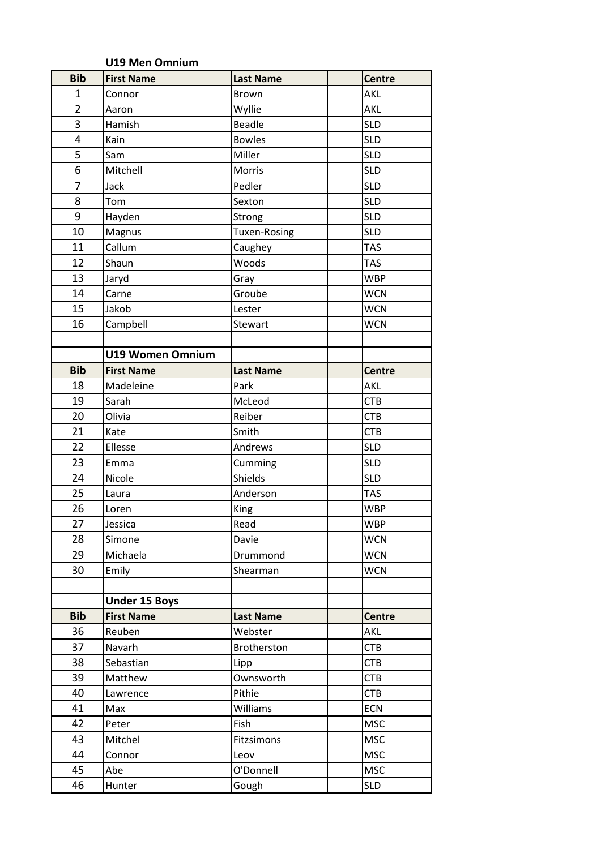|                | <b>U19 Men Omnium</b>   |                     |               |
|----------------|-------------------------|---------------------|---------------|
| <b>Bib</b>     | <b>First Name</b>       | <b>Last Name</b>    | <b>Centre</b> |
| 1              | Connor                  | <b>Brown</b>        | AKL           |
| $\overline{2}$ | Aaron                   | Wyllie              | <b>AKL</b>    |
| 3              | Hamish                  | <b>Beadle</b>       | <b>SLD</b>    |
| 4              | Kain                    | <b>Bowles</b>       | <b>SLD</b>    |
| 5              | Sam                     | Miller              | <b>SLD</b>    |
| 6              | Mitchell                | Morris              | <b>SLD</b>    |
| 7              | Jack                    | Pedler              | <b>SLD</b>    |
| 8              | Tom                     | Sexton              | <b>SLD</b>    |
| 9              | Hayden                  | Strong              | <b>SLD</b>    |
| 10             | Magnus                  | <b>Tuxen-Rosing</b> | <b>SLD</b>    |
| 11             | Callum                  | Caughey             | <b>TAS</b>    |
| 12             | Shaun                   | Woods               | <b>TAS</b>    |
| 13             | Jaryd                   | Gray                | <b>WBP</b>    |
| 14             | Carne                   | Groube              | <b>WCN</b>    |
| 15             | Jakob                   | Lester              | <b>WCN</b>    |
| 16             | Campbell                | Stewart             | <b>WCN</b>    |
|                |                         |                     |               |
|                | <b>U19 Women Omnium</b> |                     |               |
| <b>Bib</b>     | <b>First Name</b>       | <b>Last Name</b>    | <b>Centre</b> |
| 18             | Madeleine               | Park                | <b>AKL</b>    |
| 19             | Sarah                   | McLeod              | <b>CTB</b>    |
| 20             | Olivia                  | Reiber              | <b>CTB</b>    |
| 21             | Kate                    | Smith               | <b>CTB</b>    |
| 22             | Ellesse                 | Andrews             | <b>SLD</b>    |
| 23             | Emma                    | Cumming             | <b>SLD</b>    |
| 24             | Nicole                  | Shields             | <b>SLD</b>    |
| 25             | Laura                   | Anderson            | <b>TAS</b>    |
| 26             | Loren                   | King                | <b>WBP</b>    |
| 27             | Jessica                 | Read                | <b>WBP</b>    |
| 28             | Simone                  | Davie               | <b>WCN</b>    |
| 29             | Michaela                | Drummond            | <b>WCN</b>    |
| 30             | Emily                   | Shearman            | <b>WCN</b>    |
|                |                         |                     |               |
|                | <b>Under 15 Boys</b>    |                     |               |
| <b>Bib</b>     | <b>First Name</b>       | <b>Last Name</b>    | <b>Centre</b> |
| 36             | Reuben                  | Webster             | AKL           |
| 37             | Navarh                  | Brotherston         | <b>CTB</b>    |
| 38             | Sebastian               | Lipp                | <b>CTB</b>    |
| 39             | Matthew                 | Ownsworth           | <b>CTB</b>    |
| 40             | Lawrence                | Pithie              | <b>CTB</b>    |
| 41             | Max                     | <b>Williams</b>     | <b>ECN</b>    |
| 42             | Peter                   | Fish                | <b>MSC</b>    |
| 43             | Mitchel                 | Fitzsimons          | <b>MSC</b>    |
| 44             | Connor                  | Leov                | <b>MSC</b>    |
| 45             | Abe                     | O'Donnell           | <b>MSC</b>    |
| 46             | Hunter                  | Gough               | <b>SLD</b>    |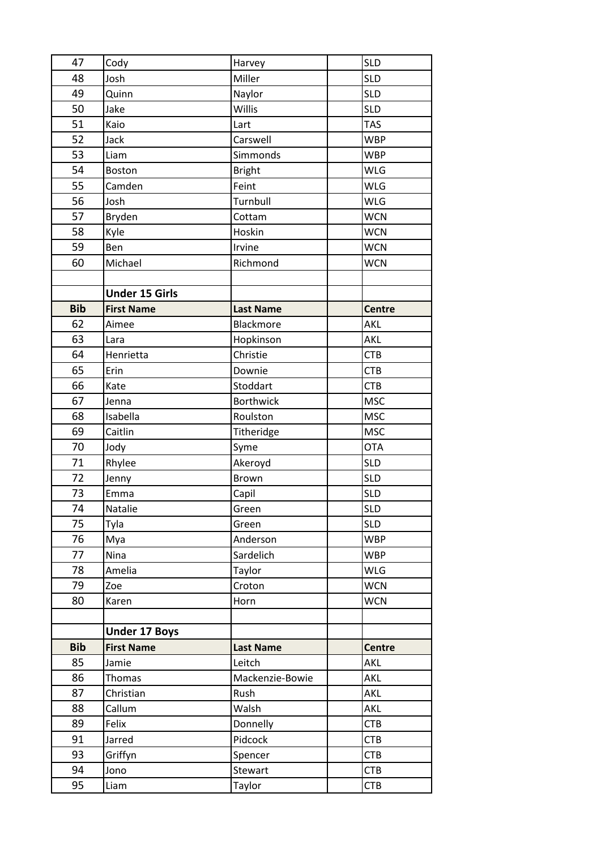| 47         | Cody                  | Harvey           | <b>SLD</b>    |
|------------|-----------------------|------------------|---------------|
| 48         | Josh                  | Miller           | <b>SLD</b>    |
| 49         | Quinn                 | Naylor           | <b>SLD</b>    |
| 50         | Jake                  | Willis           | <b>SLD</b>    |
| 51         | Kaio                  | Lart             | <b>TAS</b>    |
| 52         | Jack                  | Carswell         | <b>WBP</b>    |
| 53         | Liam                  | Simmonds         | <b>WBP</b>    |
| 54         | Boston                | <b>Bright</b>    | <b>WLG</b>    |
| 55         | Camden                | Feint            | WLG           |
| 56         | Josh                  | Turnbull         | <b>WLG</b>    |
| 57         | Bryden                | Cottam           | <b>WCN</b>    |
| 58         | Kyle                  | Hoskin           | <b>WCN</b>    |
| 59         | Ben                   | Irvine           | <b>WCN</b>    |
| 60         | Michael               | Richmond         | <b>WCN</b>    |
|            |                       |                  |               |
|            | <b>Under 15 Girls</b> |                  |               |
| <b>Bib</b> | <b>First Name</b>     | <b>Last Name</b> | <b>Centre</b> |
| 62         | Aimee                 | Blackmore        | <b>AKL</b>    |
| 63         | Lara                  | Hopkinson        | <b>AKL</b>    |
| 64         | Henrietta             | Christie         | <b>CTB</b>    |
| 65         | Erin                  | Downie           | <b>CTB</b>    |
| 66         | Kate                  | Stoddart         | <b>CTB</b>    |
| 67         | Jenna                 | <b>Borthwick</b> | <b>MSC</b>    |
| 68         | Isabella              | Roulston         | <b>MSC</b>    |
| 69         | Caitlin               | Titheridge       | <b>MSC</b>    |
| 70         | Jody                  | Syme             | <b>OTA</b>    |
| 71         | Rhylee                | Akeroyd          | <b>SLD</b>    |
| 72         | Jenny                 | <b>Brown</b>     | <b>SLD</b>    |
| 73         | Emma                  | Capil            | <b>SLD</b>    |
| 74         | Natalie               | Green            | <b>SLD</b>    |
| 75         | Tyla                  | Green            | <b>SLD</b>    |
| 76         | Mya                   | Anderson         | <b>WBP</b>    |
| 77         | Nina                  | Sardelich        | <b>WBP</b>    |
| 78         | Amelia                | Taylor           | <b>WLG</b>    |
| 79         | Zoe                   | Croton           | <b>WCN</b>    |
| 80         | Karen                 | Horn             | <b>WCN</b>    |
|            |                       |                  |               |
|            | <b>Under 17 Boys</b>  |                  |               |
| <b>Bib</b> | <b>First Name</b>     | <b>Last Name</b> | <b>Centre</b> |
| 85         | Jamie                 | Leitch           | <b>AKL</b>    |
| 86         | Thomas                | Mackenzie-Bowie  | AKL           |
| 87         | Christian             | Rush             | AKL           |
| 88         | Callum                | Walsh            | AKL           |
| 89         | Felix                 | Donnelly         | <b>CTB</b>    |
| 91         | Jarred                | Pidcock          | <b>CTB</b>    |
| 93         | Griffyn               | Spencer          | <b>CTB</b>    |
| 94         | Jono                  | Stewart          | <b>CTB</b>    |
| 95         | Liam                  | Taylor           | <b>CTB</b>    |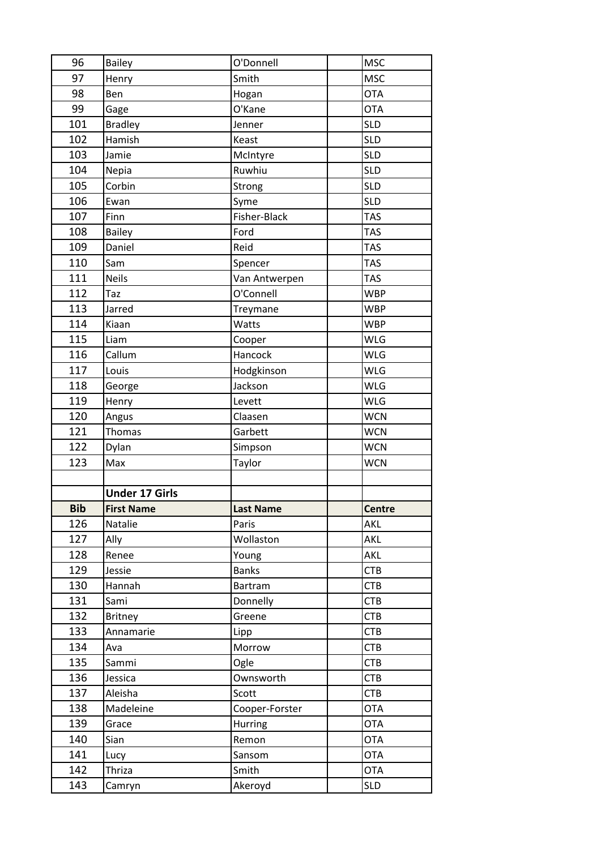| 96         | <b>Bailey</b>         | O'Donnell      | <b>MSC</b>               |
|------------|-----------------------|----------------|--------------------------|
| 97         | Henry                 | Smith          | <b>MSC</b>               |
| 98         | Ben                   | Hogan          | <b>OTA</b>               |
| 99         | Gage                  | O'Kane         | <b>OTA</b>               |
| 101        | <b>Bradley</b>        | Jenner         | <b>SLD</b>               |
| 102        | Hamish                | Keast          | <b>SLD</b>               |
| 103        | Jamie                 | McIntyre       | <b>SLD</b>               |
| 104        | Nepia                 | Ruwhiu         | <b>SLD</b>               |
| 105        | Corbin                | Strong         | <b>SLD</b>               |
| 106        | Ewan                  | Syme           | <b>SLD</b>               |
| 107        | Finn                  | Fisher-Black   | <b>TAS</b>               |
| 108        | Bailey                | Ford           | <b>TAS</b>               |
| 109        | Daniel                | Reid           | <b>TAS</b>               |
| 110        | Sam                   | Spencer        | <b>TAS</b>               |
| 111        | <b>Neils</b>          | Van Antwerpen  | <b>TAS</b>               |
| 112        | Taz                   | O'Connell      | <b>WBP</b>               |
| 113        | Jarred                | Treymane       | <b>WBP</b>               |
| 114        | Kiaan                 | Watts          | <b>WBP</b>               |
| 115        | Liam                  | Cooper         | <b>WLG</b>               |
| 116        | Callum                | Hancock        | <b>WLG</b>               |
| 117        | Louis                 | Hodgkinson     | <b>WLG</b>               |
| 118        | George                | Jackson        | <b>WLG</b>               |
| 119        | Henry                 | Levett         | <b>WLG</b>               |
| 120        | Angus                 | Claasen        | <b>WCN</b>               |
|            |                       |                |                          |
| 121        | Thomas                | Garbett        | <b>WCN</b>               |
| 122        | Dylan                 | Simpson        | <b>WCN</b>               |
| 123        | Max                   | Taylor         | <b>WCN</b>               |
|            |                       |                |                          |
|            | <b>Under 17 Girls</b> |                |                          |
| <b>Bib</b> | <b>First Name</b>     | Last Name      | Centre                   |
| 126        | Natalie               | Paris          | AKL                      |
| 127        | Ally                  | Wollaston      | <b>AKL</b>               |
| 128        | Renee                 | Young          | AKL                      |
| 129        | Jessie                | <b>Banks</b>   | <b>CTB</b>               |
| 130        | Hannah                | Bartram        | <b>CTB</b>               |
| 131        | Sami                  | Donnelly       | <b>CTB</b>               |
| 132        | <b>Britney</b>        | Greene         | CTB                      |
| 133        | Annamarie             | Lipp           | <b>CTB</b>               |
| 134        | Ava                   | Morrow         | <b>CTB</b>               |
| 135        | Sammi                 | Ogle           | <b>CTB</b>               |
| 136        | Jessica               | Ownsworth      | <b>CTB</b>               |
| 137        | Aleisha               | Scott          | <b>CTB</b>               |
| 138        | Madeleine             | Cooper-Forster | <b>OTA</b>               |
| 139        | Grace                 | <b>Hurring</b> | <b>OTA</b>               |
| 140        | Sian                  | Remon          | <b>OTA</b>               |
| 141        | Lucy                  | Sansom         | <b>OTA</b>               |
| 142        | Thriza                | Smith          | <b>OTA</b><br><b>SLD</b> |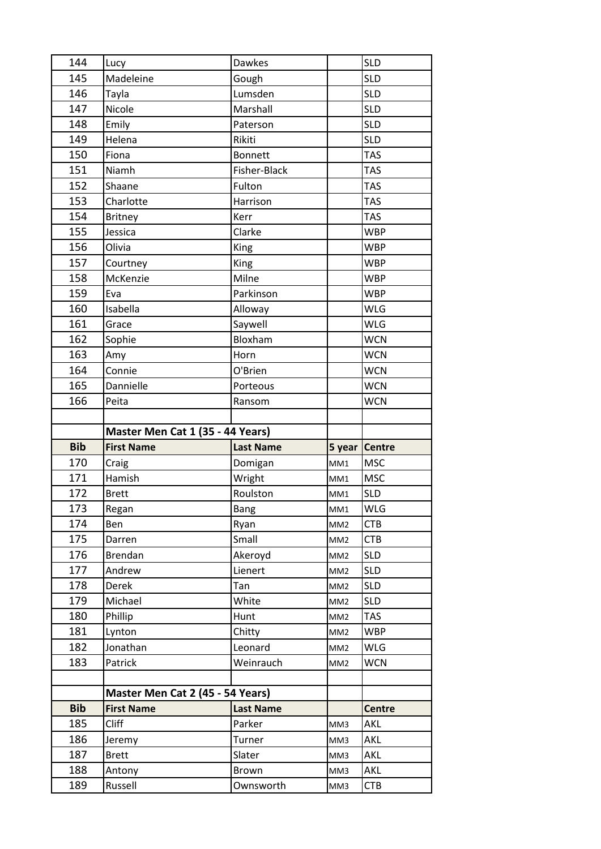| 144        | Lucy                             | <b>Dawkes</b>      |                 | <b>SLD</b>               |
|------------|----------------------------------|--------------------|-----------------|--------------------------|
| 145        | Madeleine                        | Gough              |                 | <b>SLD</b>               |
| 146        | Tayla                            | Lumsden            |                 | <b>SLD</b>               |
| 147        | Nicole                           | Marshall           |                 | <b>SLD</b>               |
| 148        | Emily                            | Paterson           |                 | <b>SLD</b>               |
| 149        | Helena                           | Rikiti             |                 | <b>SLD</b>               |
| 150        | Fiona                            | <b>Bonnett</b>     |                 | <b>TAS</b>               |
| 151        | Niamh                            | Fisher-Black       |                 | <b>TAS</b>               |
| 152        | Shaane                           | Fulton             |                 | <b>TAS</b>               |
| 153        | Charlotte                        | Harrison           |                 | <b>TAS</b>               |
| 154        | <b>Britney</b>                   | Kerr               |                 | <b>TAS</b>               |
| 155        | Jessica                          | Clarke             |                 | <b>WBP</b>               |
| 156        | Olivia                           | King               |                 | <b>WBP</b>               |
| 157        | Courtney                         | King               |                 | <b>WBP</b>               |
| 158        | McKenzie                         | Milne              |                 | <b>WBP</b>               |
| 159        | Eva                              | Parkinson          |                 | <b>WBP</b>               |
| 160        | Isabella                         | Alloway            |                 | <b>WLG</b>               |
| 161        | Grace                            | Saywell            |                 | <b>WLG</b>               |
| 162        | Sophie                           | Bloxham            |                 | <b>WCN</b>               |
| 163        | Amy                              | Horn               |                 | <b>WCN</b>               |
| 164        | Connie                           | O'Brien            |                 | <b>WCN</b>               |
| 165        | Dannielle                        | Porteous           |                 | <b>WCN</b>               |
| 166        | Peita                            | Ransom             |                 | <b>WCN</b>               |
|            |                                  |                    |                 |                          |
|            |                                  |                    |                 |                          |
|            | Master Men Cat 1 (35 - 44 Years) |                    |                 |                          |
| <b>Bib</b> | <b>First Name</b>                | <b>Last Name</b>   | 5 year          | <b>Centre</b>            |
| 170        | Craig                            | Domigan            | MM1             | <b>MSC</b>               |
| 171        | Hamish                           | Wright             | MM1             | <b>MSC</b>               |
| 172        | <b>Brett</b>                     | Roulston           | MM1             | <b>SLD</b>               |
| 173        | Regan                            | Bang               | MM1             | WLG                      |
| 174        | Ben                              | Ryan               | MM <sub>2</sub> | <b>CTB</b>               |
| 175        | Darren                           | Small              | MM <sub>2</sub> | <b>CTB</b>               |
| 176        | Brendan                          | Akeroyd            | MM <sub>2</sub> | <b>SLD</b>               |
| 177        | Andrew                           | Lienert            | MM <sub>2</sub> | <b>SLD</b>               |
| 178        | Derek                            | Tan                | MM <sub>2</sub> | <b>SLD</b>               |
| 179        | Michael                          | White              | MM <sub>2</sub> | <b>SLD</b>               |
| 180        | Phillip                          | Hunt               | MM <sub>2</sub> | <b>TAS</b>               |
| 181        | Lynton                           | Chitty             | MM <sub>2</sub> | <b>WBP</b>               |
| 182        | Jonathan                         | Leonard            | MM <sub>2</sub> | <b>WLG</b>               |
| 183        | Patrick                          | Weinrauch          | MM <sub>2</sub> | <b>WCN</b>               |
|            |                                  |                    |                 |                          |
|            | Master Men Cat 2 (45 - 54 Years) |                    |                 |                          |
| <b>Bib</b> | <b>First Name</b>                | <b>Last Name</b>   |                 | <b>Centre</b>            |
| 185        | <b>Cliff</b>                     | Parker             | MM3             | <b>AKL</b>               |
| 186        | Jeremy                           | Turner             | MM3             | AKL                      |
| 187        | <b>Brett</b>                     | Slater             | MM3             | AKL                      |
| 188<br>189 | Antony<br>Russell                | Brown<br>Ownsworth | MM3<br>MM3      | <b>AKL</b><br><b>CTB</b> |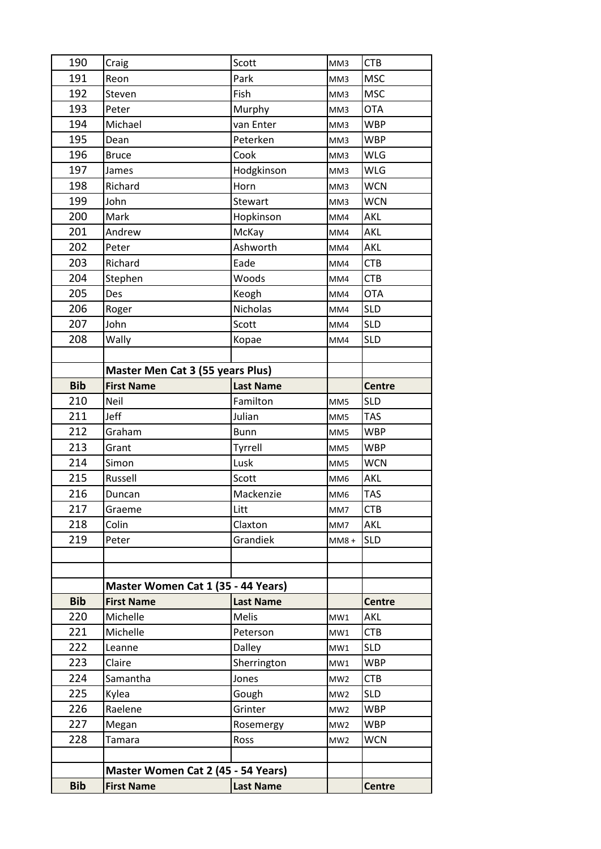| 190        | Craig                                   | Scott            | MM3             | <b>CTB</b>    |
|------------|-----------------------------------------|------------------|-----------------|---------------|
| 191        | Reon                                    | Park             | MM3             | <b>MSC</b>    |
| 192        | Steven                                  | Fish             | MM3             | <b>MSC</b>    |
| 193        | Peter                                   | Murphy           | MM3             | <b>OTA</b>    |
| 194        | Michael                                 | van Enter        | MM3             | <b>WBP</b>    |
| 195        | Dean                                    | Peterken         | MM3             | <b>WBP</b>    |
| 196        | <b>Bruce</b>                            | Cook             | MM3             | <b>WLG</b>    |
| 197        | James                                   | Hodgkinson       | MM3             | <b>WLG</b>    |
| 198        | Richard                                 | Horn             | MM3             | <b>WCN</b>    |
| 199        | John                                    | Stewart          | MM3             | <b>WCN</b>    |
| 200        | Mark                                    | Hopkinson        | MM4             | AKL           |
| 201        | Andrew                                  | McKay            | MM4             | AKL           |
| 202        | Peter                                   | Ashworth         | MM4             | AKL           |
| 203        | Richard                                 | Eade             | MM4             | <b>CTB</b>    |
| 204        | Stephen                                 | Woods            | MM4             | <b>CTB</b>    |
| 205        | Des                                     | Keogh            | MM4             | <b>OTA</b>    |
| 206        | Roger                                   | Nicholas         | MM4             | <b>SLD</b>    |
| 207        | John                                    | Scott            | MM4             | <b>SLD</b>    |
| 208        | Wally                                   | Kopae            | MM4             | <b>SLD</b>    |
|            |                                         |                  |                 |               |
|            | <b>Master Men Cat 3 (55 years Plus)</b> |                  |                 |               |
| <b>Bib</b> | <b>First Name</b>                       | <b>Last Name</b> |                 | <b>Centre</b> |
| 210        | Neil                                    | Familton         | MM5             | <b>SLD</b>    |
| 211        | Jeff                                    | Julian           | MM5             | <b>TAS</b>    |
| 212        | Graham                                  | <b>Bunn</b>      | MM5             | <b>WBP</b>    |
| 213        | Grant                                   | Tyrrell          | MM5             | <b>WBP</b>    |
| 214        | Simon                                   | Lusk             | MM5             | <b>WCN</b>    |
| 215        | Russell                                 | Scott            | MM <sub>6</sub> | <b>AKL</b>    |
| 216        | Duncan                                  | Mackenzie        | MM <sub>6</sub> | <b>TAS</b>    |
| 217        | Graeme                                  | Litt             | MM7             | <b>CTB</b>    |
| 218        | Colin                                   | Claxton          | MM7             | AKL           |
| 219        | Peter                                   | Grandiek         | MM8+            | <b>SLD</b>    |
|            |                                         |                  |                 |               |
|            |                                         |                  |                 |               |
|            | Master Women Cat 1 (35 - 44 Years)      |                  |                 |               |
| <b>Bib</b> | <b>First Name</b>                       | <b>Last Name</b> |                 | <b>Centre</b> |
| 220        | Michelle                                | <b>Melis</b>     | MW1             | <b>AKL</b>    |
| 221        | Michelle                                | Peterson         | MW1             | <b>CTB</b>    |
| 222        | Leanne                                  | Dalley           | MW1             | <b>SLD</b>    |
| 223        | Claire                                  | Sherrington      | MW1             | <b>WBP</b>    |
| 224        | Samantha                                | Jones            | MW <sub>2</sub> | <b>CTB</b>    |
| 225        | Kylea                                   | Gough            | MW <sub>2</sub> | <b>SLD</b>    |
| 226        | Raelene                                 | Grinter          | MW <sub>2</sub> | <b>WBP</b>    |
| 227        | Megan                                   | Rosemergy        | MW <sub>2</sub> | <b>WBP</b>    |
| 228        | Tamara                                  | Ross             | MW <sub>2</sub> | <b>WCN</b>    |
|            |                                         |                  |                 |               |
|            | Master Women Cat 2 (45 - 54 Years)      |                  |                 |               |
| <b>Bib</b> | <b>First Name</b>                       | <b>Last Name</b> |                 | <b>Centre</b> |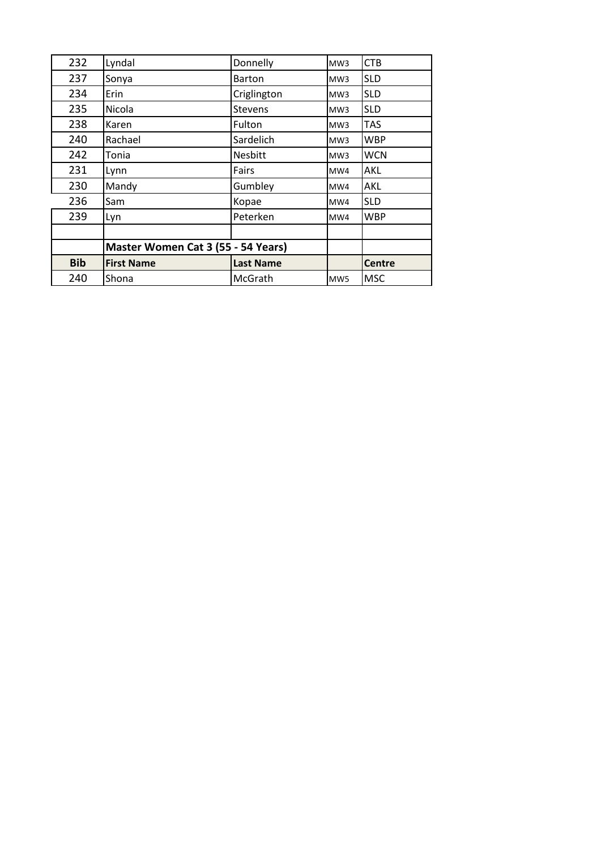| 232<br>Lyndal<br>Donnelly<br><b>CTB</b><br>MW3<br>237<br><b>SLD</b><br>Sonya<br><b>Barton</b><br>MW <sub>3</sub><br>234<br>Erin<br>Criglington<br><b>SLD</b><br>MW <sub>3</sub><br>235<br><b>SLD</b><br>Nicola<br><b>Stevens</b><br>MW <sub>3</sub><br>238<br>Fulton<br><b>TAS</b><br>Karen<br>MW <sub>3</sub><br>240<br>Sardelich<br><b>WBP</b><br>Rachael<br>MW <sub>3</sub><br>242<br>Nesbitt<br><b>WCN</b><br>Tonia<br>MW3<br>231<br>Fairs<br><b>AKL</b><br>Lynn<br>MW4 |
|-----------------------------------------------------------------------------------------------------------------------------------------------------------------------------------------------------------------------------------------------------------------------------------------------------------------------------------------------------------------------------------------------------------------------------------------------------------------------------|
|                                                                                                                                                                                                                                                                                                                                                                                                                                                                             |
|                                                                                                                                                                                                                                                                                                                                                                                                                                                                             |
|                                                                                                                                                                                                                                                                                                                                                                                                                                                                             |
|                                                                                                                                                                                                                                                                                                                                                                                                                                                                             |
|                                                                                                                                                                                                                                                                                                                                                                                                                                                                             |
|                                                                                                                                                                                                                                                                                                                                                                                                                                                                             |
|                                                                                                                                                                                                                                                                                                                                                                                                                                                                             |
|                                                                                                                                                                                                                                                                                                                                                                                                                                                                             |
| 230<br>Mandy<br>Gumbley<br>AKL<br>MW4                                                                                                                                                                                                                                                                                                                                                                                                                                       |
| 236<br>Kopae<br><b>SLD</b><br>Sam<br>MW4                                                                                                                                                                                                                                                                                                                                                                                                                                    |
| 239<br>Peterken<br><b>WBP</b><br>Lyn<br>MW4                                                                                                                                                                                                                                                                                                                                                                                                                                 |
|                                                                                                                                                                                                                                                                                                                                                                                                                                                                             |
| Master Women Cat 3 (55 - 54 Years)                                                                                                                                                                                                                                                                                                                                                                                                                                          |
| <b>Bib</b><br><b>Last Name</b><br><b>First Name</b><br><b>Centre</b>                                                                                                                                                                                                                                                                                                                                                                                                        |
| 240<br><b>MSC</b><br>McGrath<br>Shona<br>MW <sub>5</sub>                                                                                                                                                                                                                                                                                                                                                                                                                    |